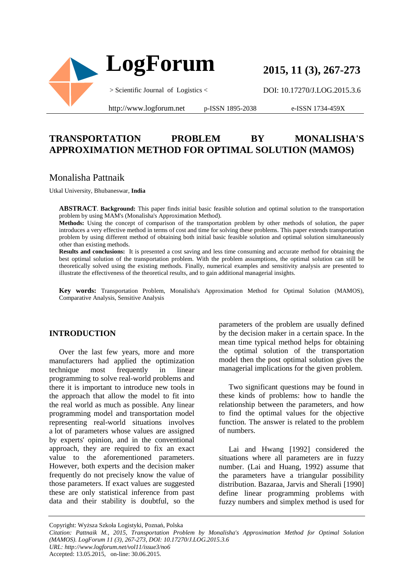

**2015, 11 (3), 267-273**

DOI: 10.17270/J.LOG.2015.3.6

http://www.logforum.net p-ISSN 1895-2038

e-ISSN 1734-459X

# **TRANSPORTATION PROBLEM BY MONALISHA'S APPROXIMATION METHOD FOR OPTIMAL SOLUTION (MAMOS)**

## Monalisha Pattnaik

Utkal University, Bhubaneswar, **India** 

**ABSTRACT**. **Background:** This paper finds initial basic feasible solution and optimal solution to the transportation problem by using MAM's (Monalisha's Approximation Method).

**Methods:** Using the concept of comparison of the transportation problem by other methods of solution, the paper introduces a very effective method in terms of cost and time for solving these problems. This paper extends transportation problem by using different method of obtaining both initial basic feasible solution and optimal solution simultaneously other than existing methods.

**Results and conclusions:** It is presented a cost saving and less time consuming and accurate method for obtaining the best optimal solution of the transportation problem. With the problem assumptions, the optimal solution can still be theoretically solved using the existing methods. Finally, numerical examples and sensitivity analysis are presented to illustrate the effectiveness of the theoretical results, and to gain additional managerial insights.

**Key words:** Transportation Problem, Monalisha's Approximation Method for Optimal Solution (MAMOS), Comparative Analysis, Sensitive Analysis

## **INTRODUCTION**

Over the last few years, more and more manufacturers had applied the optimization technique most frequently in linear programming to solve real-world problems and there it is important to introduce new tools in the approach that allow the model to fit into the real world as much as possible. Any linear programming model and transportation model representing real-world situations involves a lot of parameters whose values are assigned by experts' opinion, and in the conventional approach, they are required to fix an exact value to the aforementioned parameters. However, both experts and the decision maker frequently do not precisely know the value of those parameters. If exact values are suggested these are only statistical inference from past data and their stability is doubtful, so the

parameters of the problem are usually defined by the decision maker in a certain space. In the mean time typical method helps for obtaining the optimal solution of the transportation model then the post optimal solution gives the managerial implications for the given problem.

Two significant questions may be found in these kinds of problems: how to handle the relationship between the parameters, and how to find the optimal values for the objective function. The answer is related to the problem of numbers.

Lai and Hwang [1992] considered the situations where all parameters are in fuzzy number. (Lai and Huang, 1992) assume that the parameters have a triangular possibility distribution. Bazaraa, Jarvis and Sherali [1990] define linear programming problems with fuzzy numbers and simplex method is used for

Copyright: Wyższa Szkoła Logistyki, Poznań, Polska

Accepted: 13.05.2015, on-line: 30.06.2015.

*Citation: Pattnaik M., 2015, Transportation Problem by Monalisha's Approximation Method for Optimal Solution (MAMOS). LogForum 11 (3), 267-273, DOI: 10.17270/J.LOG.2015.3.6 URL: http://www.logforum.net/vol11/issue3/no6*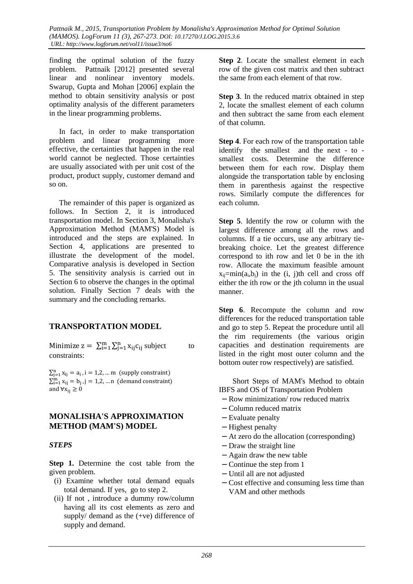finding the optimal solution of the fuzzy problem. Pattnaik [2012] presented several linear and nonlinear inventory models. Swarup, Gupta and Mohan [2006] explain the method to obtain sensitivity analysis or post optimality analysis of the different parameters in the linear programming problems.

In fact, in order to make transportation problem and linear programming more effective, the certainties that happen in the real world cannot be neglected. Those certainties are usually associated with per unit cost of the product, product supply, customer demand and so on.

The remainder of this paper is organized as follows. In Section 2, it is introduced transportation model. In Section 3, Monalisha's Approximation Method (MAM'S) Model is introduced and the steps are explained. In Section 4, applications are presented to illustrate the development of the model. Comparative analysis is developed in Section 5. The sensitivity analysis is carried out in Section 6 to observe the changes in the optimal solution. Finally Section 7 deals with the summary and the concluding remarks.

# **TRANSPORTATION MODEL**

Minimize  $z = \sum_{i=1}^{m} \sum_{j=1}^{n} x_{ij} c_{ij}$  subject to constraints:

 $\sum_{j=1}^{n} x_{ij} = a_i$ , i = 1,2, ... m (supply constraint)  $\sum_{i=1}^{m} x_{ij} = b_j$ , j = 1,2, ... n (demand constraint) and  $\forall x_{ii} \geq 0$ 

## **MONALISHA'S APPROXIMATION METHOD (MAM'S) MODEL**

## *STEPS*

**Step 1.** Determine the cost table from the given problem.

- (i) Examine whether total demand equals total demand. If yes, go to step 2.
- (ii) If not , introduce a dummy row/column having all its cost elements as zero and supply/ demand as the (+ve) difference of supply and demand.

**Step 2**. Locate the smallest element in each row of the given cost matrix and then subtract the same from each element of that row.

**Step 3.** In the reduced matrix obtained in step 2, locate the smallest element of each column and then subtract the same from each element of that column.

**Step 4**. For each row of the transportation table identify the smallest and the next - to smallest costs. Determine the difference between them for each row. Display them alongside the transportation table by enclosing them in parenthesis against the respective rows. Similarly compute the differences for each column.

**Step 5**. Identify the row or column with the largest difference among all the rows and columns. If a tie occurs, use any arbitrary tiebreaking choice. Let the greatest difference correspond to ith row and let 0 be in the ith row. Allocate the maximum feasible amount  $x_{ii} = min(a_i, b_i)$  in the (i, j)th cell and cross off either the ith row or the jth column in the usual manner.

**Step 6**. Recompute the column and row differences for the reduced transportation table and go to step 5. Repeat the procedure until all the rim requirements (the various origin capacities and destination requirements are listed in the right most outer column and the bottom outer row respectively) are satisfied.

 Short Steps of MAM's Method to obtain IBFS and OS of Transportation Problem

- − Row minimization/ row reduced matrix
- − Column reduced matrix
- − Evaluate penalty
- − Highest penalty
- − At zero do the allocation (corresponding)
- − Draw the straight line
- − Again draw the new table
- − Continue the step from 1
- − Until all are not adjusted
- − Cost effective and consuming less time than VAM and other methods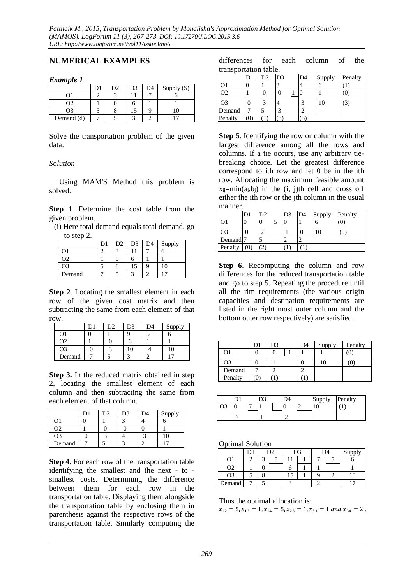## **NUMERICAL EXAMPLES**

### *Example 1*

|            | D2 | D <sub>3</sub> | Supply $(S)$ |
|------------|----|----------------|--------------|
|            |    |                |              |
|            |    |                |              |
|            |    | L)             |              |
| Demand (d) |    |                |              |

Solve the transportation problem of the given data.

### *Solution*

Using MAM'S Method this problem is solved.

**Step 1**. Determine the cost table from the given problem.

| (i) Here total demand equals total demand, go |  |  |
|-----------------------------------------------|--|--|
| to step 2.                                    |  |  |

|        | D <sub>2</sub> | D3 | D4 | Supply |
|--------|----------------|----|----|--------|
|        |                |    |    |        |
| ገን     |                |    |    |        |
| Э3     |                | د، |    |        |
| Demand |                |    |    |        |

**Step 2**. Locating the smallest element in each row of the given cost matrix and then subtracting the same from each element of that row.

|        | מר |  | Supply |
|--------|----|--|--------|
|        |    |  |        |
| 72     |    |  |        |
| O3     |    |  |        |
| Demand |    |  |        |

**Step 3.** In the reduced matrix obtained in step 2, locating the smallest element of each column and then subtracting the same from each element of that column.

|        | D2. | D3 | D4 | Supply |
|--------|-----|----|----|--------|
|        |     |    |    |        |
| O2     |     |    |    |        |
| O3     |     |    |    | lC     |
| Demand |     |    |    |        |

**Step 4**. For each row of the transportation table identifying the smallest and the next - to smallest costs. Determining the difference between them for each row in the transportation table. Displaying them alongside the transportation table by enclosing them in parenthesis against the respective rows of the transportation table. Similarly computing the

differences for each column of the transportation table.

|                | D1                | D2 | D3 | D4 | Supply | Penalty |
|----------------|-------------------|----|----|----|--------|---------|
|                |                   |    |    |    |        |         |
| O <sub>2</sub> |                   |    |    |    |        | 0)      |
| O3             |                   | ◠  |    |    |        |         |
| Demand         |                   |    |    |    |        |         |
| Penalty        | $\left( 0\right)$ |    |    |    |        |         |

**Step 5**. Identifying the row or column with the largest difference among all the rows and columns. If a tie occurs, use any arbitrary tiebreaking choice. Let the greatest difference correspond to ith row and let 0 be in the ith row. Allocating the maximum feasible amount  $x_{ii} = min(a_i, b_i)$  in the (i, j)th cell and cross off either the ith row or the jth column in the usual manner.

|                       | D1               | D <sub>2</sub> | D3 | D <sub>4</sub> | Supply | Penalty |
|-----------------------|------------------|----------------|----|----------------|--------|---------|
| Э1                    | $\left( \right)$ |                |    |                | n      | (0)     |
| Э3                    |                  | ⌒              |    |                |        |         |
| Demand <sup>[7]</sup> |                  |                |    |                |        |         |
| Penalty               |                  | つ              |    |                |        |         |

**Step 6**. Recomputing the column and row differences for the reduced transportation table and go to step 5. Repeating the procedure until all the rim requirements (the various origin capacities and destination requirements are listed in the right most outer column and the bottom outer row respectively) are satisfied.

|                |    | D3 | D4 | Supply | Penalty |
|----------------|----|----|----|--------|---------|
| O <sub>1</sub> |    |    |    |        | O       |
| O3             |    |    |    |        | ٠U      |
| Demand         |    |    |    |        |         |
| Penalty        | 0) |    |    |        |         |

|                |   |  |   | Supply | Penalty |
|----------------|---|--|---|--------|---------|
| O <sub>3</sub> | − |  |   |        |         |
|                |   |  | ∼ |        |         |

Optimal Solution

|                |  | D2 | D3 | D4 | Supply |
|----------------|--|----|----|----|--------|
| Oì             |  |    |    |    |        |
| O <sub>2</sub> |  |    |    |    |        |
| O <sub>3</sub> |  |    |    |    |        |
| Demand         |  |    |    |    |        |

Thus the optimal allocation is:

 $x_{12} = 5, x_{13} = 1, x_{14} = 5, x_{23} = 1, x_{33} = 1$  and  $x_{34} = 2$ .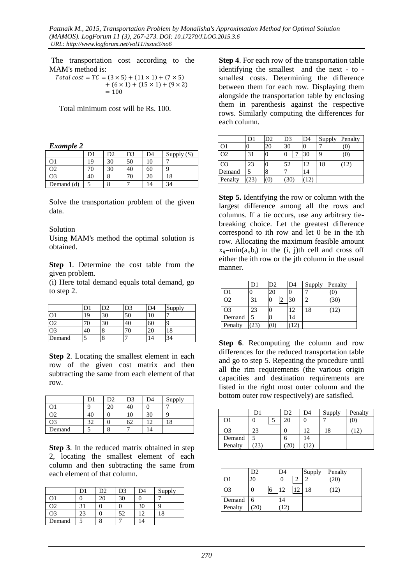The transportation cost according to the MAM's method is:

 $Total cost = TC = (3 \times 5) + (11 \times 1) + (7 \times 5)$  $+ (6 \times 1) + (15 \times 1) + (9 \times 2)$  $= 100$ 

Total minimum cost will be Rs. 100.

*Example 2* 

|            | D1 | )2 | D3 | D4 | Supply $(S)$ |
|------------|----|----|----|----|--------------|
| O1         | 19 | 30 | 50 | 10 |              |
| O2         | 70 | 30 | 40 | 60 |              |
| O3         | 40 | c  |    |    | 18           |
| Demand (d) |    | Ω  |    |    | 34           |

Solve the transportation problem of the given data.

#### Solution

Using MAM's method the optimal solution is obtained.

**Step 1**. Determine the cost table from the given problem.

(i) Here total demand equals total demand, go to step 2.

|                |   |    | D3 | D4 | Supply |
|----------------|---|----|----|----|--------|
| O <sub>1</sub> | 9 | 30 | 50 |    |        |
| O <sub>2</sub> |   | 30 | 40 | 60 | Q      |
| O <sub>3</sub> |   | O  |    |    | 18     |
| Demand         |   | O  |    | 4  | 34     |

**Step 2**. Locating the smallest element in each row of the given cost matrix and then subtracting the same from each element of that row.

|                | D1 | D <sub>2</sub> | D3 | D4  | Supply |
|----------------|----|----------------|----|-----|--------|
| O1             |    | 20             | 40 |     |        |
| Ο2             | 40 |                | 10 | 30  |        |
| O <sub>3</sub> | 32 |                | 62 | ۱ŋ  | 18     |
| Demand         |    | о              |    | l 4 |        |

**Step 3**. In the reduced matrix obtained in step 2, locating the smallest element of each column and then subtracting the same from each element of that column.

|        | D1 | D2 | D3 | D4                       | Supply |
|--------|----|----|----|--------------------------|--------|
| Э1     |    | 20 | 30 |                          |        |
| O2     |    |    |    |                          |        |
| O3     |    |    | 52 | C                        | 18     |
| Demand |    |    |    | $\overline{\mathcal{L}}$ |        |

**Step 4**. For each row of the transportation table identifying the smallest and the next - to smallest costs. Determining the difference between them for each row. Displaying them alongside the transportation table by enclosing them in parenthesis against the respective rows. Similarly computing the differences for each column.

|                |              | D2 | D <sub>3</sub> | D <sub>4</sub> | Supply | Penalty |
|----------------|--------------|----|----------------|----------------|--------|---------|
| O1             |              | 20 | 30             |                |        |         |
| O <sub>2</sub> | 31           |    | 0              | 30             | 9      | (0)     |
| O3             | 23           |    | 52             | 12             | 18     |         |
| Demand         |              | 8  |                | 14             |        |         |
| Penalty        | $23^{\circ}$ | Ő  |                |                |        |         |

**Step 5.** Identifying the row or column with the largest difference among all the rows and columns. If a tie occurs, use any arbitrary tiebreaking choice. Let the greatest difference correspond to ith row and let 0 be in the ith row. Allocating the maximum feasible amount  $x_{ij}$ =min( $a_i$ , $b_j$ ) in the (i, j)th cell and cross off either the ith row or the jth column in the usual manner.

|                | D1   | D2               | D <sub>4</sub> | Supply | Penalty |
|----------------|------|------------------|----------------|--------|---------|
| O1             |      | 20               | 0              |        |         |
| O <sub>2</sub> | 31   | $\left( \right)$ | 30             |        | (30)    |
| O <sub>3</sub> | 23   |                  | 12             | 18     | 12      |
| Demand         |      | 8                | 14             |        |         |
| Penalty        | (23) | (0)              | 12             |        |         |

**Step 6**. Recomputing the column and row differences for the reduced transportation table and go to step 5. Repeating the procedure until all the rim requirements (the various origin capacities and destination requirements are listed in the right most outer column and the bottom outer row respectively) are satisfied.

|                | D1 | D2 | D4 | Supply | Penalty |
|----------------|----|----|----|--------|---------|
| O <sub>1</sub> |    | 20 |    |        | O)      |
| O3             | 23 |    |    | 18     |         |
| Demand         |    |    | 14 |        |         |
| Penalty        |    | ΖU |    |        |         |

|                | D <sub>2</sub> |   | D4  |    | Supply | Penalty |
|----------------|----------------|---|-----|----|--------|---------|
| O <sub>1</sub> | 20             |   | 0   |    |        | (20)    |
| O <sub>3</sub> |                | 6 | 12. | 12 | 18     | (12)    |
| Demand         | 6              |   | 14  |    |        |         |
| Penalty        | (20)           |   | 12  |    |        |         |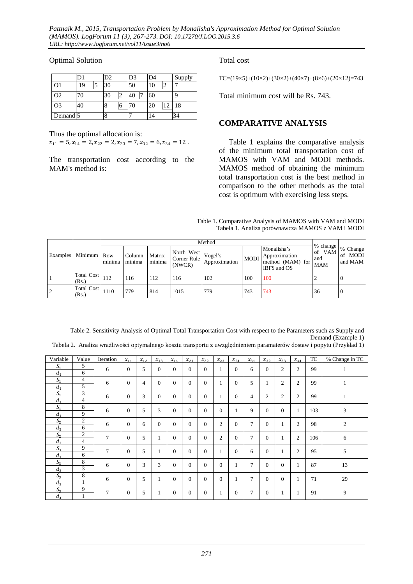### Optimal Solution

|                     |    | D <sub>2</sub> |        | D3 | D <sub>4</sub> |    | Supply |
|---------------------|----|----------------|--------|----|----------------|----|--------|
| O1                  | 19 | 30             |        | 50 | 10             |    |        |
| O <sub>2</sub>      | 70 | 30             | $\sim$ | 40 | 60             |    |        |
| O <sub>3</sub>      | 40 | 8              | O      | 70 | 20             | 12 | 18     |
| Demand <sup>5</sup> |    | 8              |        |    |                |    | 34     |

Thus the optimal allocation is:

 $x_{11} = 5, x_{14} = 2, x_{22} = 2, x_{23} = 7, x_{32} = 6, x_{34} = 12$ .

The transportation cost according to the MAM's method is:

### Total cost

TC=(19×5)+(10×2)+(30×2)+(40×7)+(8×6)+(20×12)=743

Total minimum cost will be Rs. 743.

## **COMPARATIVE ANALYSIS**

Table 1 explains the comparative analysis of the minimum total transportation cost of MAMOS with VAM and MODI methods. MAMOS method of obtaining the minimum total transportation cost is the best method in comparison to the other methods as the total cost is optimum with exercising less steps.

| Table 1. Comparative Analysis of MAMOS with VAM and MODI |  |
|----------------------------------------------------------|--|
| Tabela 1. Analiza porównawcza MAMOS z VAM i MODI         |  |

| Examples Minimum Row       | minima | Column<br>minima | Matrix<br>minima | North West<br>Corner Rule<br>(NWCR) | Vogel's<br>Approximation | <b>MODI</b> | Monalisha's<br>Approximation<br>method (MAM) for<br>IBFS and OS | % change<br>of VAM<br>and<br><b>MAM</b> | % Change<br>of MODI<br>and MAM |  |
|----------------------------|--------|------------------|------------------|-------------------------------------|--------------------------|-------------|-----------------------------------------------------------------|-----------------------------------------|--------------------------------|--|
| <b>Total Cost</b><br>(Rs.) | 112    | 116              | 112              | 116                                 | 102                      | 100         | 100                                                             |                                         |                                |  |
| <b>Total Cost</b><br>(Rs.) | 1110   | 779              | 814              | 1015                                | 779                      | 743         | 743                                                             | 36                                      | 0                              |  |

Table 2. Sensitivity Analysis of Optimal Total Transportation Cost with respect to the Parameters such as Supply and Demand (Example 1)

|  |  |  |  |  | Tabela 2. Analiza wrażliwości optymalnego kosztu transportu z uwzględnieniem paramaterów dostaw i popytu (Przykład 1) |  |  |  |  |
|--|--|--|--|--|-----------------------------------------------------------------------------------------------------------------------|--|--|--|--|
|--|--|--|--|--|-----------------------------------------------------------------------------------------------------------------------|--|--|--|--|

| Variable          | Value          | Iteration | $x_{11}$     | $x_{12}$       | $x_{13}$       | $x_{14}$ | $x_{21}$ | $x_{22}$     | $x_{23}$       | $x_{24}$       | $x_{31}$       | $x_{32}$     | $x_{33}$       | $x_{34}$       | TC  | % Change in TC |
|-------------------|----------------|-----------|--------------|----------------|----------------|----------|----------|--------------|----------------|----------------|----------------|--------------|----------------|----------------|-----|----------------|
| $S_{1}$           | 5              | 6         | $\mathbf{0}$ | 5              | $\Omega$       | $\Omega$ | $\Omega$ | $\Omega$     | 1              | $\mathbf{0}$   | 6              | $\Omega$     | 2              | $\overline{2}$ | 99  | 1              |
| d <sub>1</sub>    | 6              |           |              |                |                |          |          |              |                |                |                |              |                |                |     |                |
| S <sub>1</sub>    | $\overline{4}$ | 6         | $\theta$     | $\overline{4}$ | $\Omega$       | $\Omega$ | $\Omega$ | $\Omega$     | 1              | $\mathbf{0}$   | 5              | 1            | $\overline{c}$ | $\overline{2}$ | 99  | -1             |
| $d_{1}$           | 5              |           |              |                |                |          |          |              |                |                |                |              |                |                |     |                |
| $S_{1}$           | 3              | 6         | $\mathbf{0}$ | 3              | $\theta$       | $\Omega$ | $\Omega$ | $\mathbf{0}$ | 1              | $\mathbf{0}$   | 4              | 2            | 2              | $\overline{2}$ | 99  |                |
| $d_{1}$           | $\overline{4}$ |           |              |                |                |          |          |              |                |                |                |              |                |                |     | 1              |
| $S_{1}$           | 8              | 6         | $\Omega$     | 5              | 3              | $\Omega$ | $\Omega$ | $\Omega$     | $\Omega$       | -1             | 9              | $\Omega$     | $\Omega$       | $\mathbf{1}$   | 103 | 3              |
| $d_{1}$           | 9              |           |              |                |                |          |          |              |                |                |                |              |                |                |     |                |
| $S_{\mathcal{D}}$ | 2              | 6         | $\mathbf{0}$ | 6              | $\overline{0}$ | $\Omega$ | $\Omega$ | $\Omega$     | $\overline{2}$ | $\mathbf{0}$   | 7              | $\mathbf{0}$ |                | $\overline{2}$ | 98  | $\overline{2}$ |
| $d_{2}$           | 6              |           |              |                |                |          |          |              |                |                |                |              |                |                |     |                |
| $S_{2}$           | 2              | 7         | $\theta$     | 5              |                | $\Omega$ | $\Omega$ | $\Omega$     | $\overline{2}$ | $\overline{0}$ | $\overline{7}$ | $\Omega$     |                | $\overline{2}$ | 106 | 6              |
| $d_{\alpha}$      | $\overline{4}$ |           |              |                |                |          |          |              |                |                |                |              |                |                |     |                |
| S <sub>3</sub>    | 9              | 7         | $\mathbf{0}$ | 5              | 1              | $\Omega$ | $\Omega$ | $\Omega$     | 1              | $\mathbf{0}$   | 6              | $\Omega$     |                | $\overline{2}$ | 95  | 5              |
| $d_{1}$           | 6              |           |              |                |                |          |          |              |                |                |                |              |                |                |     |                |
| $S_{\mathcal{P}}$ | 8              | 6         | $\mathbf{0}$ | 3              | 3              | $\Omega$ | $\Omega$ | $\Omega$     | $\theta$       |                | 7              | $\Omega$     | $\Omega$       | $\mathbf{1}$   | 87  | 13             |
| $d_{\alpha}$      | 3              |           |              |                |                |          |          |              |                | $\mathbf 1$    |                |              |                |                |     |                |
| $S_{2}$           | 8              | 6         | $\mathbf{0}$ | 5              |                | $\Omega$ | $\Omega$ | $\Omega$     | $\theta$       |                | $\overline{7}$ | $\Omega$     | $\Omega$       | 1              | 71  | 29             |
| $d_{\alpha}$      | 1              |           |              |                | л              |          |          |              |                | -1             |                |              |                |                |     |                |
| S <sub>3</sub>    | 9              | 7         | $\mathbf{0}$ | 5              |                | $\Omega$ | $\theta$ | $\Omega$     |                | $\overline{0}$ | 7              | $\theta$     |                |                | 91  | 9              |
| $d_4$             | 1              |           |              |                | 1              |          |          |              |                |                |                |              |                | 1              |     |                |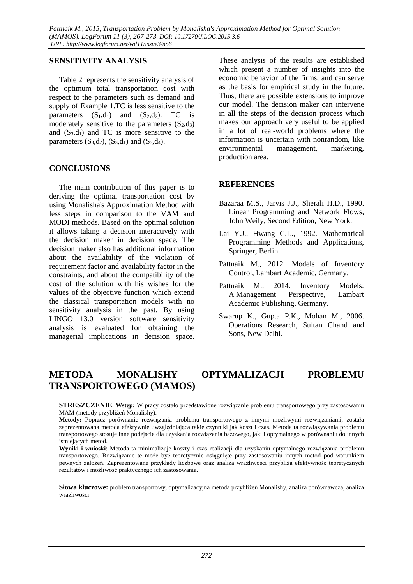### **SENSITIVITY ANALYSIS**

Table 2 represents the sensitivity analysis of the optimum total transportation cost with respect to the parameters such as demand and supply of Example 1.TC is less sensitive to the parameters  $(S_1,d_1)$  and  $(S_2,d_2)$ . TC is moderately sensitive to the parameters  $(S_2,d_3)$ and  $(S_3,d_1)$  and TC is more sensitive to the parameters  $(S_3,d_2)$ ,  $(S_3,d_1)$  and  $(S_3,d_4)$ .

### **CONCLUSIONS**

The main contribution of this paper is to deriving the optimal transportation cost by using Monalisha's Approximation Method with less steps in comparison to the VAM and MODI methods. Based on the optimal solution it allows taking a decision interactively with the decision maker in decision space. The decision maker also has additional information about the availability of the violation of requirement factor and availability factor in the constraints, and about the compatibility of the cost of the solution with his wishes for the values of the objective function which extend the classical transportation models with no sensitivity analysis in the past. By using LINGO 13.0 version software sensitivity analysis is evaluated for obtaining the managerial implications in decision space.

These analysis of the results are established which present a number of insights into the economic behavior of the firms, and can serve as the basis for empirical study in the future. Thus, there are possible extensions to improve our model. The decision maker can intervene in all the steps of the decision process which makes our approach very useful to be applied in a lot of real-world problems where the information is uncertain with nonrandom, like environmental management, marketing, production area.

### **REFERENCES**

- Bazaraa M.S., Jarvis J.J., Sherali H.D., 1990. Linear Programming and Network Flows, John Weily, Second Edition, New York.
- Lai Y.J., Hwang C.L., 1992. Mathematical Programming Methods and Applications, Springer, Berlin.
- Pattnaik M., 2012. Models of Inventory Control, Lambart Academic, Germany.
- Pattnaik M., 2014. Inventory Models: A Management Perspective, Lambart Academic Publishing, Germany.
- Swarup K., Gupta P.K., Mohan M., 2006. Operations Research, Sultan Chand and Sons, New Delhi.

# **METODA MONALISHY OPTYMALIZACJI PROBLEMU TRANSPORTOWEGO (MAMOS)**

**STRESZCZENIE**. **Wstęp:** W pracy zostało przedstawione rozwiązanie problemu transportowego przy zastosowaniu MAM (metody przybliżeń Monalishy).

**Wyniki i wnioski**: Metoda ta minimalizuje koszty i czas realizacji dla uzyskaniu optymalnego rozwiązania problemu transportowego. Rozwiązanie te może być teoretycznie osiągnięte przy zastosowaniu innych metod pod warunkiem pewnych założeń. Zaprezentowane przykłady liczbowe oraz analiza wrażliwości przybliża efektywność teoretycznych rezultatów i możliwość praktycznego ich zastosowania.

**Słowa kluczowe:** problem transportowy, optymalizacyjna metoda przybliżeń Monalishy, analiza porównawcza, analiza wrażliwości

**Metody:** Poprzez porównanie rozwiązania problemu transportowego z innymi możliwymi rozwiązaniami, została zaprezentowana metoda efektywnie uwzględniająca takie czynniki jak koszt i czas. Metoda ta rozwiązywania problemu transportowego stosuje inne podejście dla uzyskania rozwiązania bazowego, jaki i optymalnego w porównaniu do innych istniejących metod.